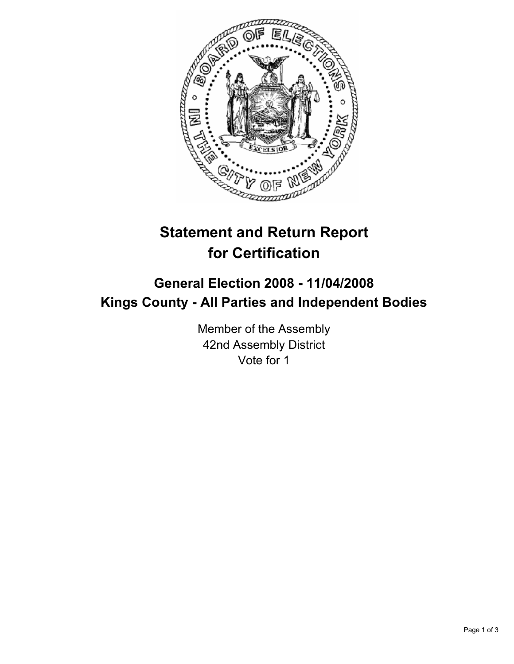

# **Statement and Return Report for Certification**

## **General Election 2008 - 11/04/2008 Kings County - All Parties and Independent Bodies**

Member of the Assembly 42nd Assembly District Vote for 1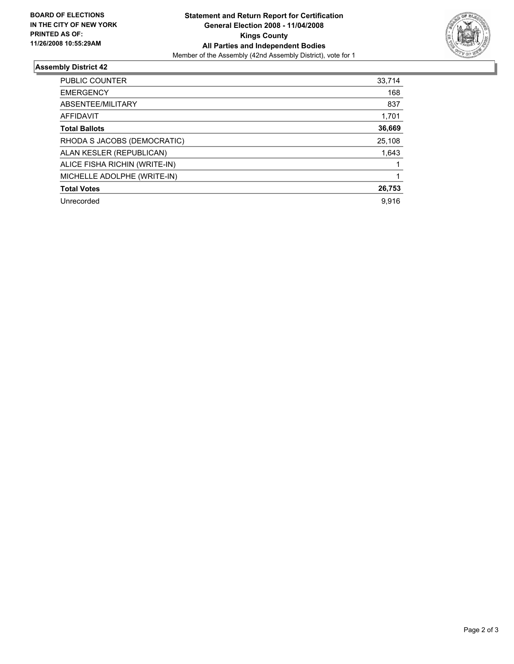

#### **Assembly District 42**

| 33,714 |
|--------|
| 168    |
| 837    |
| 1,701  |
| 36,669 |
| 25,108 |
| 1,643  |
|        |
|        |
| 26,753 |
| 9,916  |
|        |